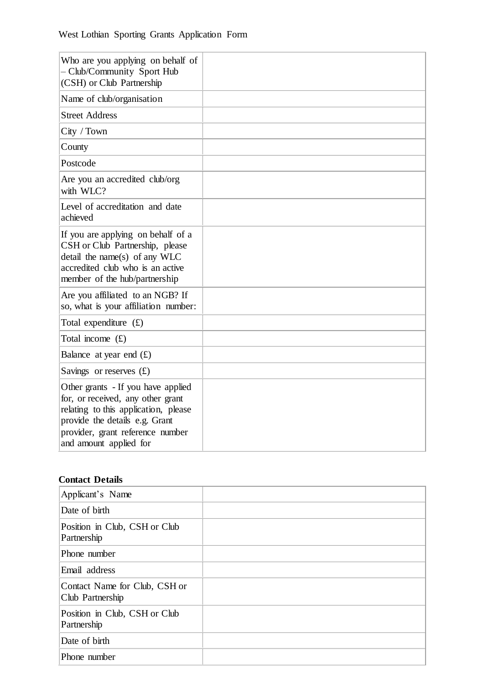| Who are you applying on behalf of<br>- Club/Community Sport Hub<br>(CSH) or Club Partnership                                                                                                                    |  |
|-----------------------------------------------------------------------------------------------------------------------------------------------------------------------------------------------------------------|--|
| Name of club/organisation                                                                                                                                                                                       |  |
| <b>Street Address</b>                                                                                                                                                                                           |  |
| City / Town                                                                                                                                                                                                     |  |
| County                                                                                                                                                                                                          |  |
| Postcode                                                                                                                                                                                                        |  |
| Are you an accredited club/org<br>with WLC?                                                                                                                                                                     |  |
| Level of accreditation and date<br>achieved                                                                                                                                                                     |  |
| If you are applying on behalf of a<br>CSH or Club Partnership, please<br>detail the name(s) of any WLC<br>accredited club who is an active<br>member of the hub/partnership                                     |  |
| Are you affiliated to an NGB? If<br>so, what is your affiliation number:                                                                                                                                        |  |
| Total expenditure $(f)$                                                                                                                                                                                         |  |
| Total income $(f)$                                                                                                                                                                                              |  |
| Balance at year end $(E)$                                                                                                                                                                                       |  |
| Savings or reserves $(f)$                                                                                                                                                                                       |  |
| Other grants - If you have applied<br>for, or received, any other grant<br>relating to this application, please<br>provide the details e.g. Grant<br>provider, grant reference number<br>and amount applied for |  |

# **Contact Details**

| Applicant's Name                                  |  |
|---------------------------------------------------|--|
| Date of birth                                     |  |
| Position in Club, CSH or Club<br>Partnership      |  |
| Phone number                                      |  |
| Email address                                     |  |
| Contact Name for Club, CSH or<br>Club Partnership |  |
| Position in Club, CSH or Club<br>Partnership      |  |
| Date of birth                                     |  |
| Phone number                                      |  |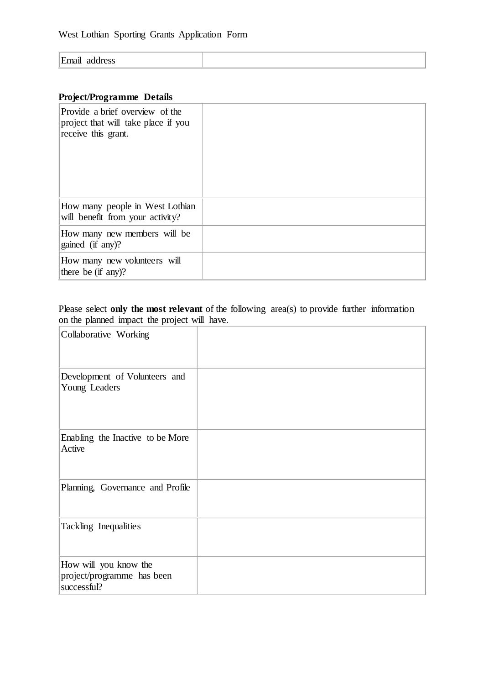| $\mathbf{F}_{\mathbf{mod}}$<br>address<br>- |  |
|---------------------------------------------|--|

## **Project/Programme Details**

| Provide a brief overview of the<br>project that will take place if you<br>receive this grant. |  |
|-----------------------------------------------------------------------------------------------|--|
| How many people in West Lothian<br>will benefit from your activity?                           |  |
| How many new members will be<br>gained (if any)?                                              |  |
| How many new volunteers will<br>there be $(if \n{any})$ ?                                     |  |

## Please select **only the most relevant** of the following area(s) to provide further information on the planned impact the project will have.

| Collaborative Working                                              |  |
|--------------------------------------------------------------------|--|
| Development of Volunteers and<br>Young Leaders                     |  |
| Enabling the Inactive to be More<br>Active                         |  |
| Planning, Governance and Profile                                   |  |
| Tackling Inequalities                                              |  |
| How will you know the<br>project/programme has been<br>successful? |  |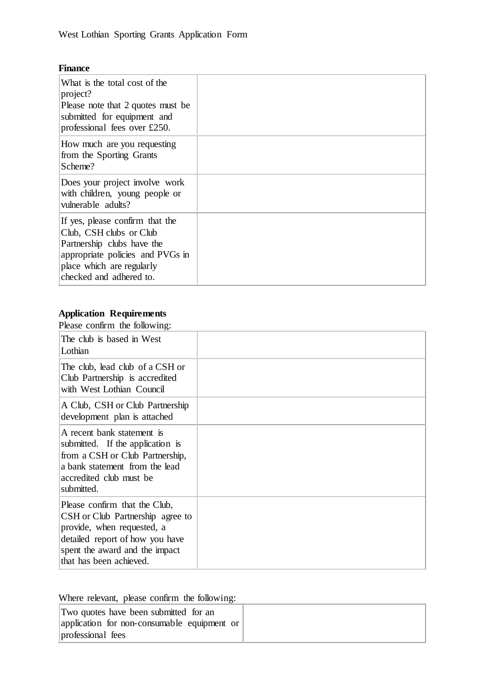#### **Finance**

| What is the total cost of the<br>project?<br>Please note that 2 quotes must be<br>submitted for equipment and<br>professional fees over £250.                                        |  |
|--------------------------------------------------------------------------------------------------------------------------------------------------------------------------------------|--|
| How much are you requesting<br>from the Sporting Grants<br>Scheme?                                                                                                                   |  |
| Does your project involve work<br>with children, young people or<br>vulnerable adults?                                                                                               |  |
| If yes, please confirm that the<br>Club, CSH clubs or Club<br>Partnership clubs have the<br>appropriate policies and PVGs in<br>place which are regularly<br>checked and adhered to. |  |

# **Application Requirements**

Please confirm the following:

| $\mu$ <sub>0</sub> $\sigma$ $\sigma$ $\mu$ $\mu$ $\mu$ $\sigma$ $\mu$ $\sigma$ $\mu$ $\sigma$ $\sigma$                                                                                          |  |
|-------------------------------------------------------------------------------------------------------------------------------------------------------------------------------------------------|--|
| The club is based in West<br>Lothian                                                                                                                                                            |  |
| The club, lead club of a CSH or<br>Club Partnership is accredited<br>with West Lothian Council                                                                                                  |  |
| A Club, CSH or Club Partnership<br>development plan is attached                                                                                                                                 |  |
| A recent bank statement is<br>submitted. If the application is<br>from a CSH or Club Partnership,<br>a bank statement from the lead<br>accredited club must be<br>submitted.                    |  |
| Please confirm that the Club,<br>CSH or Club Partnership agree to<br>provide, when requested, a<br>detailed report of how you have<br>spent the award and the impact<br>that has been achieved. |  |

Where relevant, please confirm the following:

| Two quotes have been submitted for an       |
|---------------------------------------------|
| application for non-consumable equipment or |
| professional fees                           |